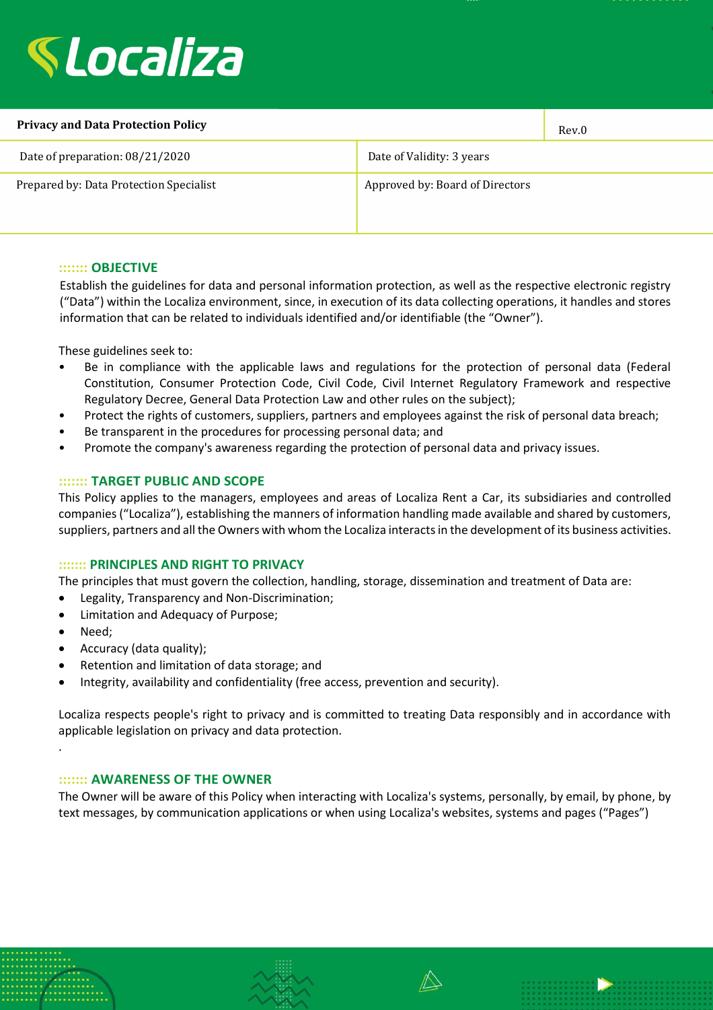

| <b>Privacy and Data Protection Policy</b> |                                 | Rev.0 |
|-------------------------------------------|---------------------------------|-------|
| Date of preparation: 08/21/2020           | Date of Validity: 3 years       |       |
| Prepared by: Data Protection Specialist   | Approved by: Board of Directors |       |

### **::::::: OBJECTIVE**

Establish the guidelines for data and personal information protection, as well as the respective electronic registry ("Data") within the Localiza environment, since, in execution of its data collecting operations, it handles and stores information that can be related to individuals identified and/or identifiable (the "Owner").

These guidelines seek to:

- Be in compliance with the applicable laws and regulations for the protection of personal data (Federal Constitution, Consumer Protection Code, Civil Code, Civil Internet Regulatory Framework and respective Regulatory Decree, General Data Protection Law and other rules on the subject);
- Protect the rights of customers, suppliers, partners and employees against the risk of personal data breach;
- Be transparent in the procedures for processing personal data; and
- Promote the company's awareness regarding the protection of personal data and privacy issues.

#### **::::::: TARGET PUBLIC AND SCOPE**

This Policy applies to the managers, employees and areas of Localiza Rent a Car, its subsidiaries and controlled companies ("Localiza"), establishing the manners of information handling made available and shared by customers, suppliers, partners and all the Owners with whom the Localiza interacts in the development of its business activities.

#### **::::::: PRINCIPLES AND RIGHT TO PRIVACY**

The principles that must govern the collection, handling, storage, dissemination and treatment of Data are:

- Legality, Transparency and Non-Discrimination;
- Limitation and Adequacy of Purpose;
- Need;

.

- Accuracy (data quality);
- Retention and limitation of data storage; and
- Integrity, availability and confidentiality (free access, prevention and security).

Localiza respects people's right to privacy and is committed to treating Data responsibly and in accordance with applicable legislation on privacy and data protection.

#### **::::::: AWARENESS OF THE OWNER**

The Owner will be aware of this Policy when interacting with Localiza's systems, personally, by email, by phone, by text messages, by communication applications or when using Localiza's websites, systems and pages ("Pages")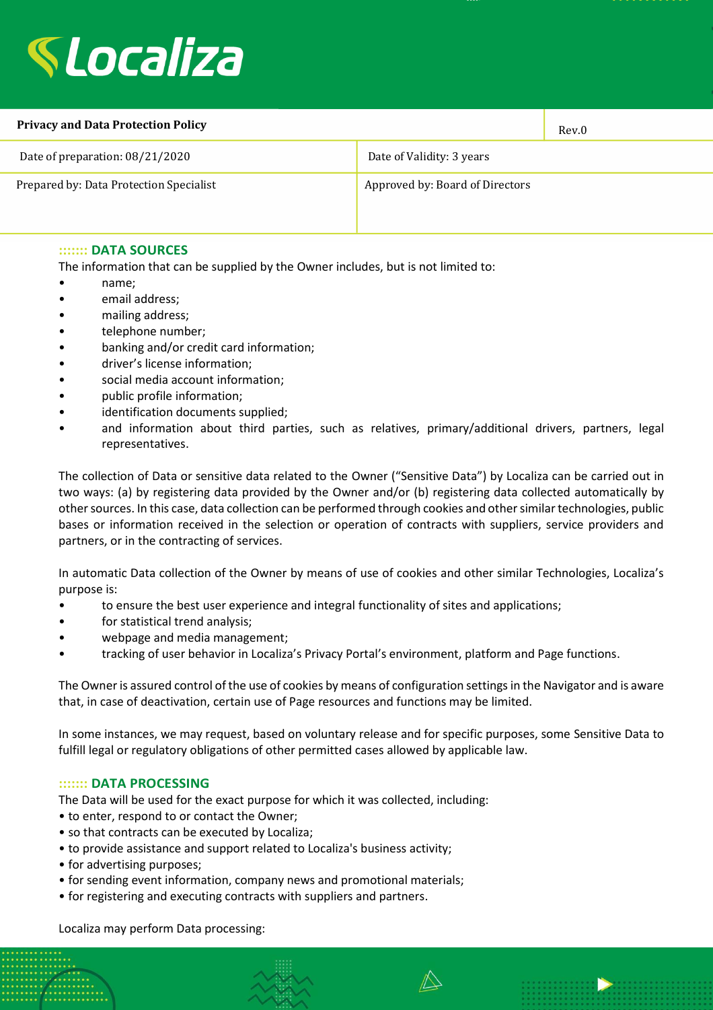

| <b>Privacy and Data Protection Policy</b> |                                 | Rev.0 |
|-------------------------------------------|---------------------------------|-------|
| Date of preparation: 08/21/2020           | Date of Validity: 3 years       |       |
| Prepared by: Data Protection Specialist   | Approved by: Board of Directors |       |

### **::::::: DATA SOURCES**

The information that can be supplied by the Owner includes, but is not limited to:

- name;
- email address;
- mailing address;
- telephone number;
- banking and/or credit card information;
- driver's license information;
- social media account information;
- public profile information;
- identification documents supplied;
- and information about third parties, such as relatives, primary/additional drivers, partners, legal representatives.

The collection of Data or sensitive data related to the Owner ("Sensitive Data") by Localiza can be carried out in two ways: (a) by registering data provided by the Owner and/or (b) registering data collected automatically by other sources. In this case, data collection can be performed through cookies and other similar technologies, public bases or information received in the selection or operation of contracts with suppliers, service providers and partners, or in the contracting of services.

In automatic Data collection of the Owner by means of use of cookies and other similar Technologies, Localiza's purpose is:

- to ensure the best user experience and integral functionality of sites and applications;
- for statistical trend analysis;
- webpage and media management;
- tracking of user behavior in Localiza's Privacy Portal's environment, platform and Page functions.

The Owner is assured control of the use of cookies by means of configuration settings in the Navigator and is aware that, in case of deactivation, certain use of Page resources and functions may be limited.

In some instances, we may request, based on voluntary release and for specific purposes, some Sensitive Data to fulfill legal or regulatory obligations of other permitted cases allowed by applicable law.

#### **::::::: DATA PROCESSING**

The Data will be used for the exact purpose for which it was collected, including:

- to enter, respond to or contact the Owner;
- so that contracts can be executed by Localiza;
- to provide assistance and support related to Localiza's business activity;
- for advertising purposes;
- for sending event information, company news and promotional materials;
- for registering and executing contracts with suppliers and partners.

Localiza may perform Data processing: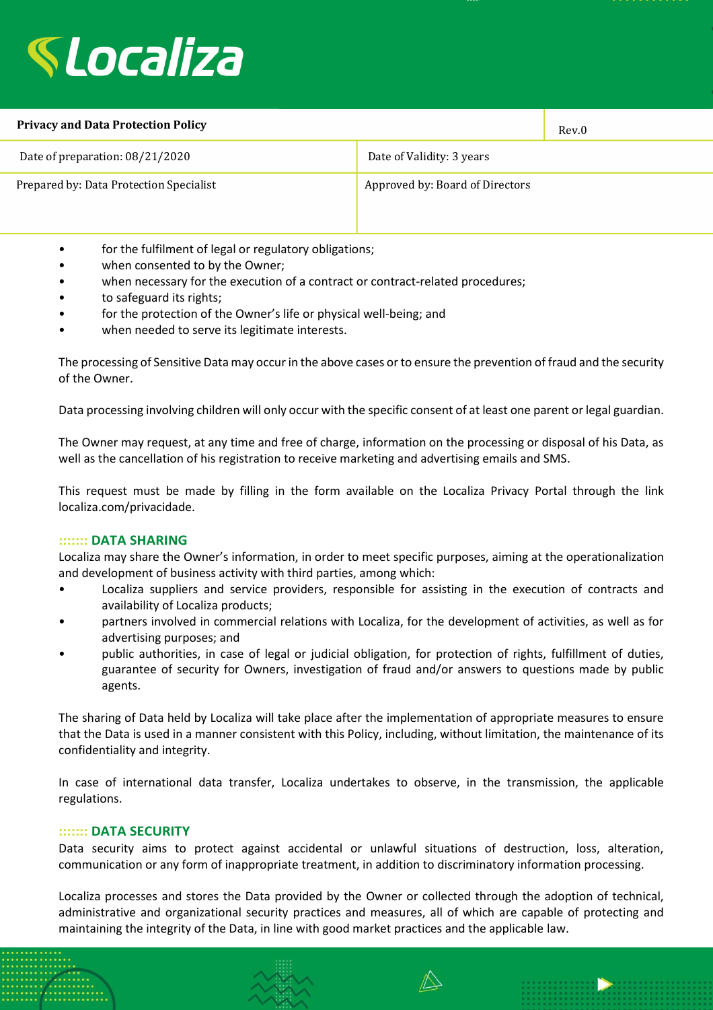

| <b>Privacy and Data Protection Policy</b> |                                 | Rev.0 |
|-------------------------------------------|---------------------------------|-------|
| Date of preparation: 08/21/2020           | Date of Validity: 3 years       |       |
| Prepared by: Data Protection Specialist   | Approved by: Board of Directors |       |

- for the fulfilment of legal or regulatory obligations;
- when consented to by the Owner;
- when necessary for the execution of a contract or contract-related procedures;
- to safeguard its rights;
- for the protection of the Owner's life or physical well-being; and
- when needed to serve its legitimate interests.

The processing of Sensitive Data may occur in the above cases or to ensure the prevention of fraud and the security of the Owner.

Data processing involving children will only occur with the specific consent of at least one parent or legal guardian.

The Owner may request, at any time and free of charge, information on the processing or disposal of his Data, as well as the cancellation of his registration to receive marketing and advertising emails and SMS.

This request must be made by filling in the form available on the Localiza Privacy Portal through the link localiza.com/privacidade.

## **::::::: DATA SHARING**

Localiza may share the Owner's information, in order to meet specific purposes, aiming at the operationalization and development of business activity with third parties, among which:

- Localiza suppliers and service providers, responsible for assisting in the execution of contracts and availability of Localiza products;
- partners involved in commercial relations with Localiza, for the development of activities, as well as for advertising purposes; and
- public authorities, in case of legal or judicial obligation, for protection of rights, fulfillment of duties, guarantee of security for Owners, investigation of fraud and/or answers to questions made by public agents.

The sharing of Data held by Localiza will take place after the implementation of appropriate measures to ensure that the Data is used in a manner consistent with this Policy, including, without limitation, the maintenance of its confidentiality and integrity.

In case of international data transfer, Localiza undertakes to observe, in the transmission, the applicable regulations.

## **::::::: DATA SECURITY**

Data security aims to protect against accidental or unlawful situations of destruction, loss, alteration, communication or any form of inappropriate treatment, in addition to discriminatory information processing.

Localiza processes and stores the Data provided by the Owner or collected through the adoption of technical, administrative and organizational security practices and measures, all of which are capable of protecting and maintaining the integrity of the Data, in line with good market practices and the applicable law.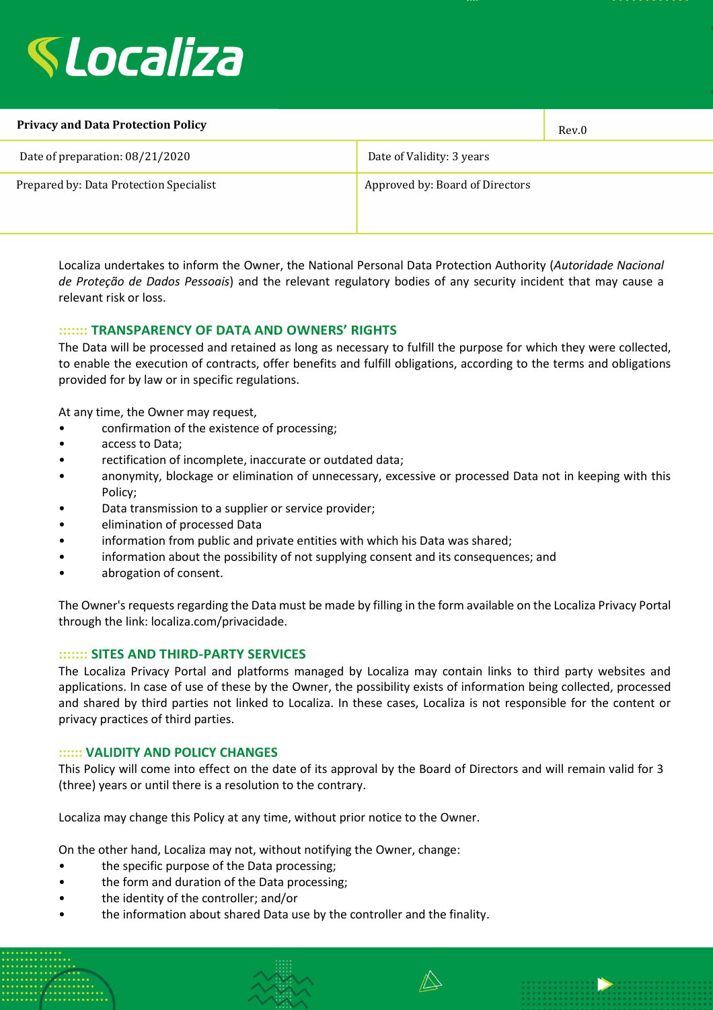

| <b>Privacy and Data Protection Policy</b> |                                 | Rev.0 |
|-------------------------------------------|---------------------------------|-------|
| Date of preparation: 08/21/2020           | Date of Validity: 3 years       |       |
| Prepared by: Data Protection Specialist   | Approved by: Board of Directors |       |

Localiza undertakes to inform the Owner, the National Personal Data Protection Authority (*Autoridade Nacional de Proteção de Dados Pessoais*) and the relevant regulatory bodies of any security incident that may cause a relevant risk or loss.

# **::::::: TRANSPARENCY OF DATA AND OWNERS' RIGHTS**

The Data will be processed and retained as long as necessary to fulfill the purpose for which they were collected, to enable the execution of contracts, offer benefits and fulfill obligations, according to the terms and obligations provided for by law or in specific regulations.

At any time, the Owner may request,

- confirmation of the existence of processing;
- access to Data;
- rectification of incomplete, inaccurate or outdated data;
- anonymity, blockage or elimination of unnecessary, excessive or processed Data not in keeping with this Policy;
- Data transmission to a supplier or service provider;
- elimination of processed Data
- information from public and private entities with which his Data was shared;
- information about the possibility of not supplying consent and its consequences; and
- abrogation of consent.

The Owner's requests regarding the Data must be made by filling in the form available on the Localiza Privacy Portal through the link: localiza.com/privacidade.

## **::::::: SITES AND THIRD-PARTY SERVICES**

The Localiza Privacy Portal and platforms managed by Localiza may contain links to third party websites and applications. In case of use of these by the Owner, the possibility exists of information being collected, processed and shared by third parties not linked to Localiza. In these cases, Localiza is not responsible for the content or privacy practices of third parties.

#### **:::::: VALIDITY AND POLICY CHANGES**

This Policy will come into effect on the date of its approval by the Board of Directors and will remain valid for 3 (three) years or until there is a resolution to the contrary.

Localiza may change this Policy at any time, without prior notice to the Owner.

On the other hand, Localiza may not, without notifying the Owner, change:

- the specific purpose of the Data processing;
- the form and duration of the Data processing;
- the identity of the controller; and/or
- the information about shared Data use by the controller and the finality.